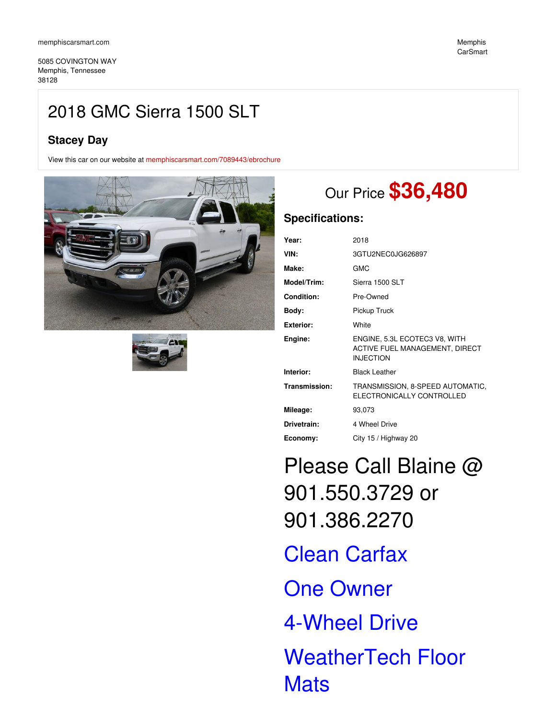5085 COVINGTON WAY Memphis, Tennessee 38128

## **Stacey Day**

View this car on our website at [memphiscarsmart.com/7089443/ebrochure](https://memphiscarsmart.com/vehicle/7089443/2018-gmc-sierra-1500-slt-memphis-tennessee-38128/7089443/ebrochure)





# Our Price **\$36,480**

## **Specifications:**

| Year:             | 2018                                                                                |
|-------------------|-------------------------------------------------------------------------------------|
| VIN:              | 3GTU2NEC0JG626897                                                                   |
| Make:             | <b>GMC</b>                                                                          |
| Model/Trim:       | Sierra 1500 SLT                                                                     |
| <b>Condition:</b> | Pre-Owned                                                                           |
| Body:             | Pickup Truck                                                                        |
| <b>Exterior:</b>  | White                                                                               |
| Engine:           | ENGINE, 5.3L ECOTEC3 V8, WITH<br>ACTIVE FUEL MANAGEMENT, DIRECT<br><b>INJECTION</b> |
| Interior:         | <b>Black Leather</b>                                                                |
| Transmission:     | TRANSMISSION, 8-SPEED AUTOMATIC,<br>ELECTRONICALLY CONTROLLED                       |
| Mileage:          | 93,073                                                                              |
| Drivetrain:       | 4 Wheel Drive                                                                       |
| Economy:          | City 15 / Highway 20                                                                |

Please Call Blaine @ 901.550.3729 or 901.386.2270 Clean Carfax One Owner 4-Wheel Drive WeatherTech Floor **Mats**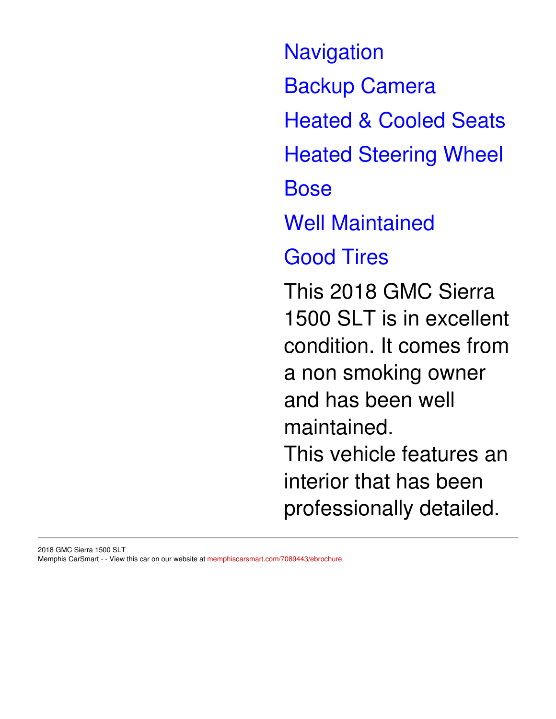**Navigation** Backup Camera Heated & Cooled Seats Heated Steering Wheel Bose Well Maintained Good Tires This 2018 GMC Sierra 1500 SLT is in excellent condition. It comes from a non smoking owner and has been well maintained. This vehicle features an interior that has been professionally detailed.

#### 2018 GMC Sierra 1500 SLT Memphis CarSmart - - View this car on our website at [memphiscarsmart.com/7089443/ebrochure](https://memphiscarsmart.com/vehicle/7089443/2018-gmc-sierra-1500-slt-memphis-tennessee-38128/7089443/ebrochure)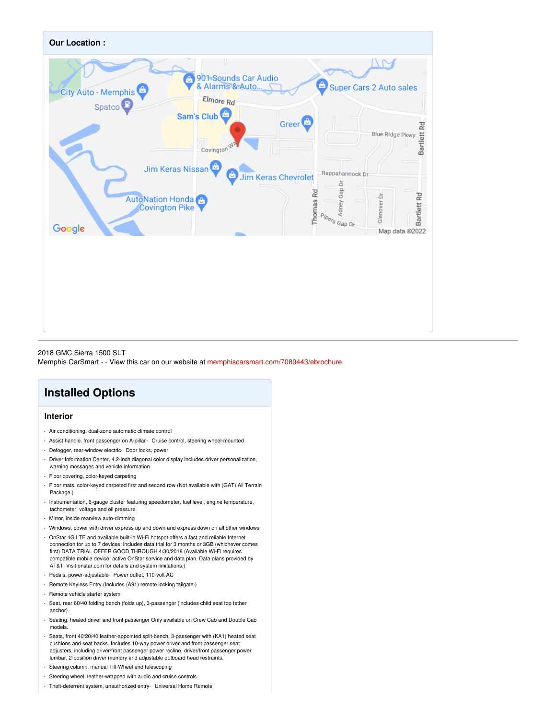

2018 GMC Sierra 1500 SLT Memphis CarSmart - - View this car on our website at [memphiscarsmart.com/7089443/ebrochure](https://memphiscarsmart.com/vehicle/7089443/2018-gmc-sierra-1500-slt-memphis-tennessee-38128/7089443/ebrochure)

# **Installed Options**

## **Interior**

- Air conditioning, dual-zone automatic climate control
- Assist handle, front passenger on A-pillar- Cruise control, steering wheel-mounted
- Defogger, rear-window electric- Door locks, power
- Driver Information Center, 4.2-inch diagonal color display includes driver personalization, warning messages and vehicle information
- Floor covering, color-keyed carpeting
- Floor mats, color-keyed carpeted first and second row (Not available with (GAT) All Terrain Package.)
- Instrumentation, 6-gauge cluster featuring speedometer, fuel level, engine temperature, tachometer, voltage and oil pressure
- Mirror, inside rearview auto-dimming
- Windows, power with driver express up and down and express down on all other windows
- OnStar 4G LTE and available built-in Wi-Fi hotspot offers a fast and reliable Internet connection for up to 7 devices; includes data trial for 3 months or 3GB (whichever comes first) DATA TRIAL OFFER GOOD THROUGH 4/30/2018 (Available Wi-Fi requires compatible mobile device, active OnStar service and data plan. Data plans provided by AT&T. Visit onstar.com for details and system limitations.)
- Pedals, power-adjustable- Power outlet, 110-volt AC
- Remote Keyless Entry (Includes (A91) remote locking tailgate.)
- Remote vehicle starter system
- Seat, rear 60/40 folding bench (folds up), 3-passenger (includes child seat top tether anchor)
- Seating, heated driver and front passenger Only available on Crew Cab and Double Cab models.
- Seats, front 40/20/40 leather-appointed split-bench, 3-passenger with (KA1) heated seat cushions and seat backs. Includes 10-way power driver and front passenger seat adjusters, including driver/front passenger power recline, driver/front passenger power lumbar, 2-position driver memory and adjustable outboard head restraints.
- Steering column, manual Tilt-Wheel and telescoping
- Steering wheel, leather-wrapped with audio and cruise controls
- Theft-deterrent system, unauthorized entry- Universal Home Remote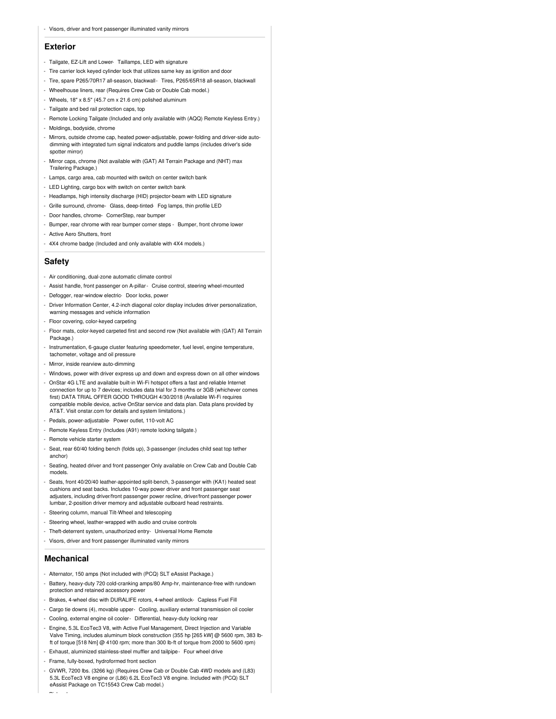#### - Visors, driver and front passenger illuminated vanity mirrors

#### **Exterior**

- Tailgate, EZ-Lift and Lower- Taillamps, LED with signature
- Tire carrier lock keyed cylinder lock that utilizes same key as ignition and door
- Tire, spare P265/70R17 all-season, blackwall- Tires, P265/65R18 all-season, blackwall
- Wheelhouse liners, rear (Requires Crew Cab or Double Cab model.)
- Wheels, 18" x 8.5" (45.7 cm x 21.6 cm) polished aluminum
- Tailgate and bed rail protection caps, top
- Remote Locking Tailgate (Included and only available with (AQQ) Remote Keyless Entry.)
- Moldings, bodyside, chrome
- Mirrors, outside chrome cap, heated power-adjustable, power-folding and driver-side autodimming with integrated turn signal indicators and puddle lamps (includes driver's side spotter mirror)
- Mirror caps, chrome (Not available with (GAT) All Terrain Package and (NHT) max Trailering Package.)
- Lamps, cargo area, cab mounted with switch on center switch bank
- LED Lighting, cargo box with switch on center switch bank
- Headlamps, high intensity discharge (HID) projector-beam with LED signature
- Grille surround, chrome- Glass, deep-tinted- Fog lamps, thin profile LED
- Door handles, chrome- CornerStep, rear bumper
- Bumper, rear chrome with rear bumper corner steps Bumper, front chrome lower
- Active Aero Shutters, front
- 4X4 chrome badge (Included and only available with 4X4 models.)

#### **Safety**

- Air conditioning, dual-zone automatic climate control
- Assist handle, front passenger on A-pillar- Cruise control, steering wheel-mounted
- Defogger, rear-window electric- Door locks, power
- Driver Information Center, 4.2-inch diagonal color display includes driver personalization, warning messages and vehicle information
- Floor covering, color-keyed carpeting
- Floor mats, color-keyed carpeted first and second row (Not available with (GAT) All Terrain Package.)
- Instrumentation, 6-gauge cluster featuring speedometer, fuel level, engine temperature, tachometer, voltage and oil pressure
- Mirror, inside rearview auto-dimming
- Windows, power with driver express up and down and express down on all other windows
- OnStar 4G LTE and available built-in Wi-Fi hotspot offers a fast and reliable Internet connection for up to 7 devices; includes data trial for 3 months or 3GB (whichever comes first) DATA TRIAL OFFER GOOD THROUGH 4/30/2018 (Available Wi-Fi requires compatible mobile device, active OnStar service and data plan. Data plans provided by AT&T. Visit onstar.com for details and system limitations.)
- Pedals, power-adjustable- Power outlet, 110-volt AC
- Remote Keyless Entry (Includes (A91) remote locking tailgate.)
- Remote vehicle starter system
- Seat, rear 60/40 folding bench (folds up), 3-passenger (includes child seat top tether anchor)
- Seating, heated driver and front passenger Only available on Crew Cab and Double Cab models.
- Seats, front 40/20/40 leather-appointed split-bench, 3-passenger with (KA1) heated seat cushions and seat backs. Includes 10-way power driver and front passenger seat adjusters, including driver/front passenger power recline, driver/front passenger power lumbar, 2-position driver memory and adjustable outboard head restraints.
- Steering column, manual Tilt-Wheel and telescoping
- Steering wheel, leather-wrapped with audio and cruise controls
- Theft-deterrent system, unauthorized entry- Universal Home Remote
- Visors, driver and front passenger illuminated vanity mirrors

## **Mechanical**

- Pickup box

- Alternator, 150 amps (Not included with (PCQ) SLT eAssist Package.)
- Battery, heavy-duty 720 cold-cranking amps/80 Amp-hr, maintenance-free with rundown protection and retained accessory power
- Brakes, 4-wheel disc with DURALIFE rotors, 4-wheel antilock- Capless Fuel Fill
- Cargo tie downs (4), movable upper- Cooling, auxiliary external transmission oil cooler
- Cooling, external engine oil cooler- Differential, heavy-duty locking rear
- Engine, 5.3L EcoTec3 V8, with Active Fuel Management, Direct Injection and Variable Valve Timing, includes aluminum block construction (355 hp [265 kW] @ 5600 rpm, 383 lbft of torque [518 Nm] @ 4100 rpm; more than 300 lb-ft of torque from 2000 to 5600 rpm)
- Exhaust, aluminized stainless-steel muffler and tailpipe- Four wheel drive
- Frame, fully-boxed, hydroformed front section
- GVWR, 7200 lbs. (3266 kg) (Requires Crew Cab or Double Cab 4WD models and (L83) 5.3L EcoTec3 V8 engine or (L86) 6.2L EcoTec3 V8 engine. Included with (PCQ) SLT eAssist Package on TC15543 Crew Cab model.)